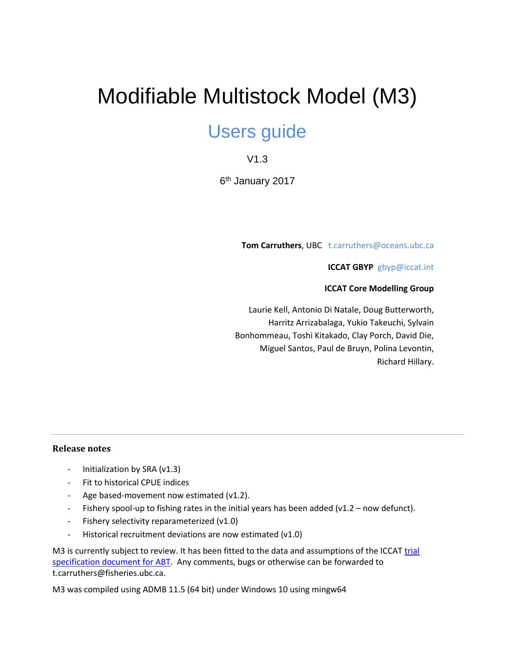# Modifiable Multistock Model (M3)

## Users guide

## V1.3

6<sup>th</sup> January 2017

**Tom Carruthers**, UBC t.carruthers@oceans.ubc.ca

**ICCAT GBYP** gbyp@iccat.int

**ICCAT Core Modelling Group**

Laurie Kell, Antonio Di Natale, Doug Butterworth, Harritz Arrizabalaga, Yukio Takeuchi, Sylvain Bonhommeau, Toshi Kitakado, Clay Porch, David Die, Miguel Santos, Paul de Bruyn, Polina Levontin, Richard Hillary.

#### **Release notes**

- Initialization by SRA (v1.3)
- Fit to historical CPUE indices
- Age based-movement now estimated (v1.2).
- Fishery spool-up to fishing rates in the initial years has been added (v1.2 now defunct).
- Fishery selectivity reparameterized (v1.0)
- Historical recruitment deviations are now estimated (v1.0)

M3 is currently subject to review. It has been fitted to the data and assumptions of the ICCAT trial [specification document for ABT.](https://drive.google.com/open?id=0B0HYOP0BN5RPSzJMS0RRUW9sUUU) Any comments, bugs or otherwise can be forwarded to t.carruthers@fisheries.ubc.ca.

M3 was compiled using ADMB 11.5 (64 bit) under Windows 10 using mingw64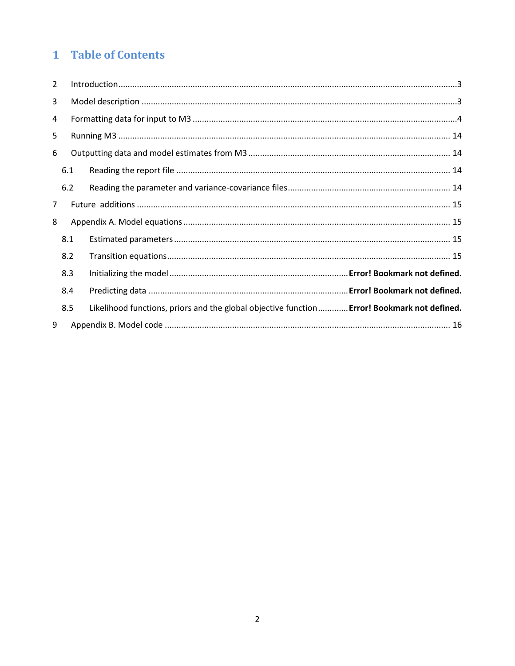## 1 Table of Contents

| $\overline{2}$ |     |  |                                                                                             |  |  |
|----------------|-----|--|---------------------------------------------------------------------------------------------|--|--|
| 3              |     |  |                                                                                             |  |  |
| 4              |     |  |                                                                                             |  |  |
| 5              |     |  |                                                                                             |  |  |
| 6              |     |  |                                                                                             |  |  |
|                | 6.1 |  |                                                                                             |  |  |
|                | 6.2 |  |                                                                                             |  |  |
| 7              |     |  |                                                                                             |  |  |
| 8              |     |  |                                                                                             |  |  |
|                | 8.1 |  |                                                                                             |  |  |
|                | 8.2 |  |                                                                                             |  |  |
| 8.3            |     |  |                                                                                             |  |  |
|                | 8.4 |  |                                                                                             |  |  |
|                | 8.5 |  | Likelihood functions, priors and the global objective function Error! Bookmark not defined. |  |  |
| 9              |     |  |                                                                                             |  |  |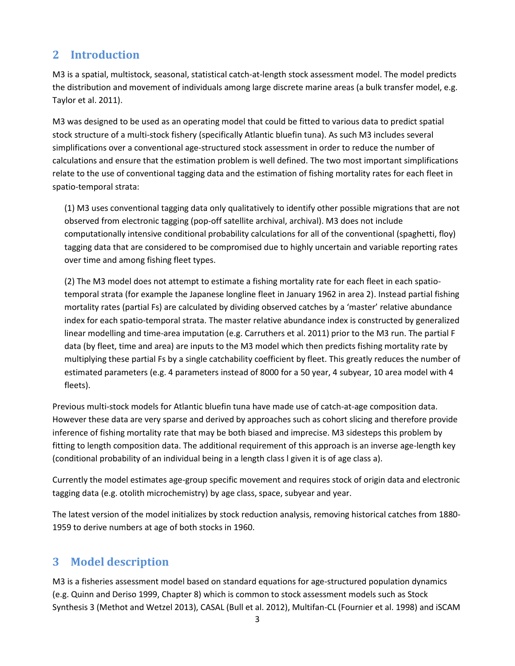## <span id="page-2-0"></span>**2 Introduction**

M3 is a spatial, multistock, seasonal, statistical catch-at-length stock assessment model. The model predicts the distribution and movement of individuals among large discrete marine areas (a bulk transfer model, e.g. Taylor et al. 2011).

M3 was designed to be used as an operating model that could be fitted to various data to predict spatial stock structure of a multi-stock fishery (specifically Atlantic bluefin tuna). As such M3 includes several simplifications over a conventional age-structured stock assessment in order to reduce the number of calculations and ensure that the estimation problem is well defined. The two most important simplifications relate to the use of conventional tagging data and the estimation of fishing mortality rates for each fleet in spatio-temporal strata:

(1) M3 uses conventional tagging data only qualitatively to identify other possible migrations that are not observed from electronic tagging (pop-off satellite archival, archival). M3 does not include computationally intensive conditional probability calculations for all of the conventional (spaghetti, floy) tagging data that are considered to be compromised due to highly uncertain and variable reporting rates over time and among fishing fleet types.

(2) The M3 model does not attempt to estimate a fishing mortality rate for each fleet in each spatiotemporal strata (for example the Japanese longline fleet in January 1962 in area 2). Instead partial fishing mortality rates (partial Fs) are calculated by dividing observed catches by a 'master' relative abundance index for each spatio-temporal strata. The master relative abundance index is constructed by generalized linear modelling and time-area imputation (e.g. Carruthers et al. 2011) prior to the M3 run. The partial F data (by fleet, time and area) are inputs to the M3 model which then predicts fishing mortality rate by multiplying these partial Fs by a single catchability coefficient by fleet. This greatly reduces the number of estimated parameters (e.g. 4 parameters instead of 8000 for a 50 year, 4 subyear, 10 area model with 4 fleets).

Previous multi-stock models for Atlantic bluefin tuna have made use of catch-at-age composition data. However these data are very sparse and derived by approaches such as cohort slicing and therefore provide inference of fishing mortality rate that may be both biased and imprecise. M3 sidesteps this problem by fitting to length composition data. The additional requirement of this approach is an inverse age-length key (conditional probability of an individual being in a length class l given it is of age class a).

Currently the model estimates age-group specific movement and requires stock of origin data and electronic tagging data (e.g. otolith microchemistry) by age class, space, subyear and year.

The latest version of the model initializes by stock reduction analysis, removing historical catches from 1880- 1959 to derive numbers at age of both stocks in 1960.

## <span id="page-2-1"></span>**3 Model description**

M3 is a fisheries assessment model based on standard equations for age-structured population dynamics (e.g. Quinn and Deriso 1999, Chapter 8) which is common to stock assessment models such as Stock Synthesis 3 (Methot and Wetzel 2013), CASAL (Bull et al. 2012), Multifan-CL (Fournier et al. 1998) and iSCAM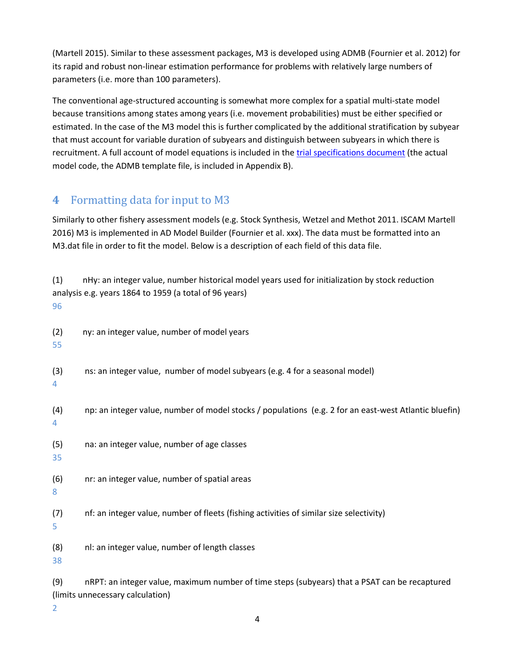(Martell 2015). Similar to these assessment packages, M3 is developed using ADMB (Fournier et al. 2012) for its rapid and robust non-linear estimation performance for problems with relatively large numbers of parameters (i.e. more than 100 parameters).

The conventional age-structured accounting is somewhat more complex for a spatial multi-state model because transitions among states among years (i.e. movement probabilities) must be either specified or estimated. In the case of the M3 model this is further complicated by the additional stratification by subyear that must account for variable duration of subyears and distinguish between subyears in which there is recruitment. A full account of model equations is included in th[e trial specifications document](https://drive.google.com/open?id=0B0HYOP0BN5RPSzJMS0RRUW9sUUU) (the actual model code, the ADMB template file, is included in Appendix B).

## <span id="page-3-0"></span>**4** Formatting data for input to M3

Similarly to other fishery assessment models (e.g. Stock Synthesis, Wetzel and Methot 2011. ISCAM Martell 2016) M3 is implemented in AD Model Builder (Fournier et al. xxx). The data must be formatted into an M3.dat file in order to fit the model. Below is a description of each field of this data file.

| (1)<br>96    | nHy: an integer value, number historical model years used for initialization by stock reduction<br>analysis e.g. years 1864 to 1959 (a total of 96 years) |  |  |
|--------------|-----------------------------------------------------------------------------------------------------------------------------------------------------------|--|--|
| (2)<br>55    | ny: an integer value, number of model years                                                                                                               |  |  |
| (3)<br>4     | ns: an integer value, number of model subyears (e.g. 4 for a seasonal model)                                                                              |  |  |
| (4)<br>4     | np: an integer value, number of model stocks / populations (e.g. 2 for an east-west Atlantic bluefin)                                                     |  |  |
| (5)<br>35    | na: an integer value, number of age classes                                                                                                               |  |  |
| (6)<br>$8\,$ | nr: an integer value, number of spatial areas                                                                                                             |  |  |
| (7)<br>5     | nf: an integer value, number of fleets (fishing activities of similar size selectivity)                                                                   |  |  |
| (8)<br>38    | nl: an integer value, number of length classes                                                                                                            |  |  |
| (9)          | nRPT: an integer value, maximum number of time steps (subyears) that a PSAT can be recaptured<br>(limits unnecessary calculation)                         |  |  |

2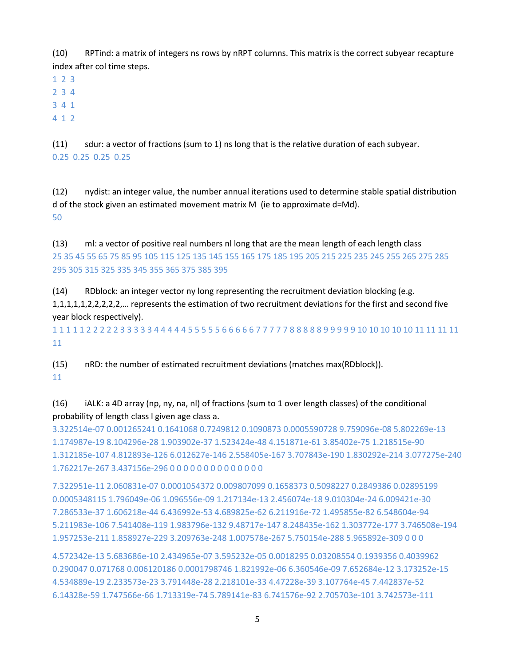(10) RPTind: a matrix of integers ns rows by nRPT columns. This matrix is the correct subyear recapture index after col time steps.

1 2 3

2 3 4

3 4 1

4 1 2

(11) sdur: a vector of fractions (sum to 1) ns long that is the relative duration of each subyear. 0.25 0.25 0.25 0.25

(12) nydist: an integer value, the number annual iterations used to determine stable spatial distribution d of the stock given an estimated movement matrix M (ie to approximate d=Md). 50

(13) ml: a vector of positive real numbers nl long that are the mean length of each length class 25 35 45 55 65 75 85 95 105 115 125 135 145 155 165 175 185 195 205 215 225 235 245 255 265 275 285 295 305 315 325 335 345 355 365 375 385 395

(14) RDblock: an integer vector ny long representing the recruitment deviation blocking (e.g. 1,1,1,1,1,2,2,2,2,2,… represents the estimation of two recruitment deviations for the first and second five year block respectively).

1 1 1 1 1 2 2 2 2 2 3 3 3 3 3 4 4 4 4 4 5 5 5 5 5 6 6 6 6 6 7 7 7 7 7 8 8 8 8 8 9 9 9 9 9 10 10 10 10 10 11 11 11 11 11

(15) nRD: the number of estimated recruitment deviations (matches max(RDblock)). 11

(16) iALK: a 4D array (np, ny, na, nl) of fractions (sum to 1 over length classes) of the conditional probability of length class l given age class a.

3.322514e-07 0.001265241 0.1641068 0.7249812 0.1090873 0.0005590728 9.759096e-08 5.802269e-13 1.174987e-19 8.104296e-28 1.903902e-37 1.523424e-48 4.151871e-61 3.85402e-75 1.218515e-90 1.312185e-107 4.812893e-126 6.012627e-146 2.558405e-167 3.707843e-190 1.830292e-214 3.077275e-240 1.762217e-267 3.437156e-296 0 0 0 0 0 0 0 0 0 0 0 0 0 0

7.322951e-11 2.060831e-07 0.0001054372 0.009807099 0.1658373 0.5098227 0.2849386 0.02895199 0.0005348115 1.796049e-06 1.096556e-09 1.217134e-13 2.456074e-18 9.010304e-24 6.009421e-30 7.286533e-37 1.606218e-44 6.436992e-53 4.689825e-62 6.211916e-72 1.495855e-82 6.548604e-94 5.211983e-106 7.541408e-119 1.983796e-132 9.48717e-147 8.248435e-162 1.303772e-177 3.746508e-194 1.957253e-211 1.858927e-229 3.209763e-248 1.007578e-267 5.750154e-288 5.965892e-309 0 0 0

4.572342e-13 5.683686e-10 2.434965e-07 3.595232e-05 0.0018295 0.03208554 0.1939356 0.4039962 0.290047 0.071768 0.006120186 0.0001798746 1.821992e-06 6.360546e-09 7.652684e-12 3.173252e-15 4.534889e-19 2.233573e-23 3.791448e-28 2.218101e-33 4.47228e-39 3.107764e-45 7.442837e-52 6.14328e-59 1.747566e-66 1.713319e-74 5.789141e-83 6.741576e-92 2.705703e-101 3.742573e-111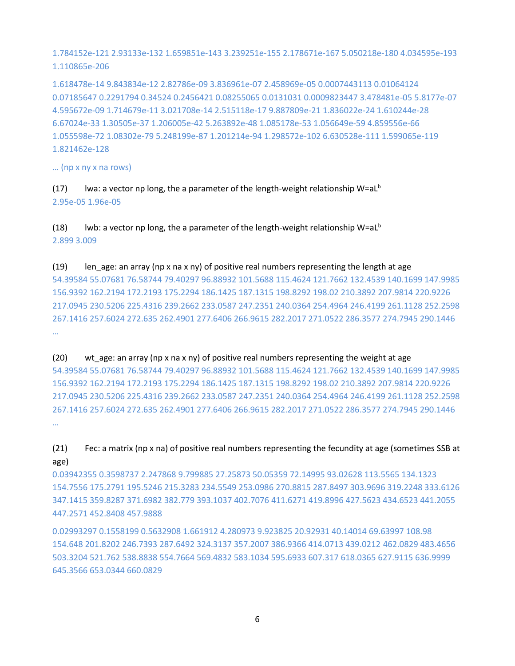1.784152e-121 2.93133e-132 1.659851e-143 3.239251e-155 2.178671e-167 5.050218e-180 4.034595e-193 1.110865e-206

1.618478e-14 9.843834e-12 2.82786e-09 3.836961e-07 2.458969e-05 0.0007443113 0.01064124 0.07185647 0.2291794 0.34524 0.2456421 0.08255065 0.0131031 0.0009823447 3.478481e-05 5.8177e-07 4.595672e-09 1.714679e-11 3.021708e-14 2.515118e-17 9.887809e-21 1.836022e-24 1.610244e-28 6.67024e-33 1.30505e-37 1.206005e-42 5.263892e-48 1.085178e-53 1.056649e-59 4.859556e-66 1.055598e-72 1.08302e-79 5.248199e-87 1.201214e-94 1.298572e-102 6.630528e-111 1.599065e-119 1.821462e-128

… (np x ny x na rows)

(17) lwa: a vector np long, the a parameter of the length-weight relationship  $W=al^b$ 2.95e-05 1.96e-05

(18) lwb: a vector np long, the a parameter of the length-weight relationship W=aL<sup>b</sup> 2.899 3.009

(19) len\_age: an array (np x na x ny) of positive real numbers representing the length at age 54.39584 55.07681 76.58744 79.40297 96.88932 101.5688 115.4624 121.7662 132.4539 140.1699 147.9985 156.9392 162.2194 172.2193 175.2294 186.1425 187.1315 198.8292 198.02 210.3892 207.9814 220.9226 217.0945 230.5206 225.4316 239.2662 233.0587 247.2351 240.0364 254.4964 246.4199 261.1128 252.2598 267.1416 257.6024 272.635 262.4901 277.6406 266.9615 282.2017 271.0522 286.3577 274.7945 290.1446 …

(20) wt age: an array (np x na x ny) of positive real numbers representing the weight at age 54.39584 55.07681 76.58744 79.40297 96.88932 101.5688 115.4624 121.7662 132.4539 140.1699 147.9985 156.9392 162.2194 172.2193 175.2294 186.1425 187.1315 198.8292 198.02 210.3892 207.9814 220.9226 217.0945 230.5206 225.4316 239.2662 233.0587 247.2351 240.0364 254.4964 246.4199 261.1128 252.2598 267.1416 257.6024 272.635 262.4901 277.6406 266.9615 282.2017 271.0522 286.3577 274.7945 290.1446 …

(21) Fec: a matrix (np x na) of positive real numbers representing the fecundity at age (sometimes SSB at age)

0.03942355 0.3598737 2.247868 9.799885 27.25873 50.05359 72.14995 93.02628 113.5565 134.1323 154.7556 175.2791 195.5246 215.3283 234.5549 253.0986 270.8815 287.8497 303.9696 319.2248 333.6126 347.1415 359.8287 371.6982 382.779 393.1037 402.7076 411.6271 419.8996 427.5623 434.6523 441.2055 447.2571 452.8408 457.9888

0.02993297 0.1558199 0.5632908 1.661912 4.280973 9.923825 20.92931 40.14014 69.63997 108.98 154.648 201.8202 246.7393 287.6492 324.3137 357.2007 386.9366 414.0713 439.0212 462.0829 483.4656 503.3204 521.762 538.8838 554.7664 569.4832 583.1034 595.6933 607.317 618.0365 627.9115 636.9999 645.3566 653.0344 660.0829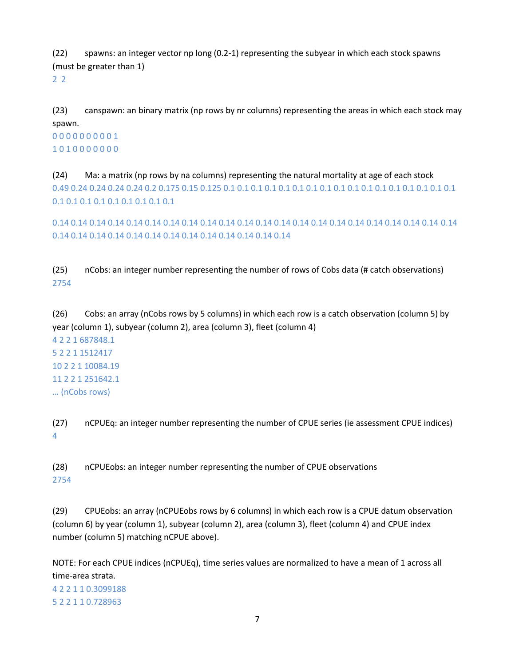(22) spawns: an integer vector np long (0.2-1) representing the subyear in which each stock spawns (must be greater than 1)

2 2

(23) canspawn: an binary matrix (np rows by nr columns) representing the areas in which each stock may spawn.

0 0 0 0 0 0 0 0 0 1 1 0 1 0 0 0 0 0 0 0

(24) Ma: a matrix (np rows by na columns) representing the natural mortality at age of each stock 0.49 0.24 0.24 0.24 0.24 0.2 0.175 0.15 0.125 0.1 0.1 0.1 0.1 0.1 0.1 0.1 0.1 0.1 0.1 0.1 0.1 0.1 0.1 0.1 0.1 0.1 0.1 0.1 0.1 0.1 0.1 0.1 0.1 0.1 0.1

0.14 0.14 0.14 0.14 0.14 0.14 0.14 0.14 0.14 0.14 0.14 0.14 0.14 0.14 0.14 0.14 0.14 0.14 0.14 0.14 0.14 0.14 0.14 0.14 0.14 0.14 0.14 0.14 0.14 0.14 0.14 0.14 0.14 0.14 0.14

(25) nCobs: an integer number representing the number of rows of Cobs data (# catch observations) 2754

(26) Cobs: an array (nCobs rows by 5 columns) in which each row is a catch observation (column 5) by year (column 1), subyear (column 2), area (column 3), fleet (column 4)

4 2 2 1 687848.1 5 2 2 1 1512417 10 2 2 1 10084.19 11 2 2 1 251642.1 … (nCobs rows)

(27) nCPUEq: an integer number representing the number of CPUE series (ie assessment CPUE indices) 4

(28) nCPUEobs: an integer number representing the number of CPUE observations 2754

(29) CPUEobs: an array (nCPUEobs rows by 6 columns) in which each row is a CPUE datum observation (column 6) by year (column 1), subyear (column 2), area (column 3), fleet (column 4) and CPUE index number (column 5) matching nCPUE above).

NOTE: For each CPUE indices (nCPUEq), time series values are normalized to have a mean of 1 across all time-area strata.

4 2 2 1 1 0.3099188 5 2 2 1 1 0.728963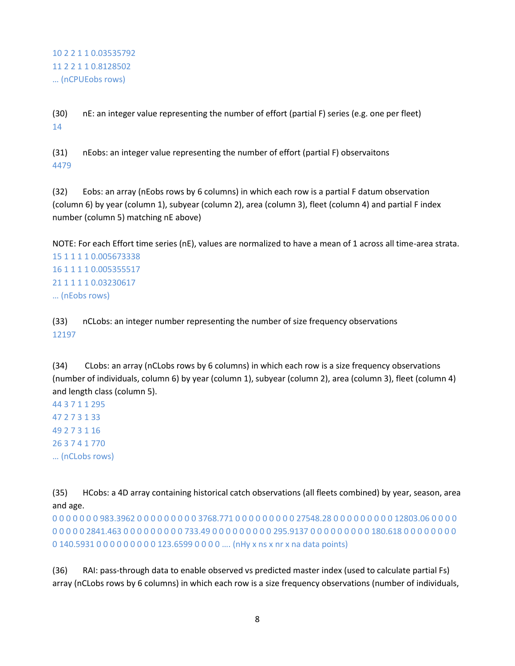10 2 2 1 1 0.03535792 11 2 2 1 1 0.8128502 … (nCPUEobs rows)

(30) nE: an integer value representing the number of effort (partial F) series (e.g. one per fleet) 14

(31) nEobs: an integer value representing the number of effort (partial F) observaitons 4479

(32) Eobs: an array (nEobs rows by 6 columns) in which each row is a partial F datum observation (column 6) by year (column 1), subyear (column 2), area (column 3), fleet (column 4) and partial F index number (column 5) matching nE above)

NOTE: For each Effort time series (nE), values are normalized to have a mean of 1 across all time-area strata. 15 1 1 1 1 0.005673338 16 1 1 1 1 0.005355517 21 1 1 1 1 0.03230617 … (nEobs rows)

(33) nCLobs: an integer number representing the number of size frequency observations 12197

(34) CLobs: an array (nCLobs rows by 6 columns) in which each row is a size frequency observations (number of individuals, column 6) by year (column 1), subyear (column 2), area (column 3), fleet (column 4) and length class (column 5).

44 3 7 1 1 295 47 2 7 3 1 33 49 2 7 3 1 16 26 3 7 4 1 770 … (nCLobs rows)

(35) HCobs: a 4D array containing historical catch observations (all fleets combined) by year, season, area and age.

0 0 0 0 0 0 0 983.3962 0 0 0 0 0 0 0 0 0 3768.771 0 0 0 0 0 0 0 0 0 27548.28 0 0 0 0 0 0 0 0 0 12803.06 0 0 0 0 0 0 0 0 0 2841.463 0 0 0 0 0 0 0 0 0 733.49 0 0 0 0 0 0 0 0 0 295.9137 0 0 0 0 0 0 0 0 0 180.618 0 0 0 0 0 0 0 0 0 140.5931 0 0 0 0 0 0 0 0 0 123.6599 0 0 0 0 .... (nHy x ns x nr x na data points)

(36) RAI: pass-through data to enable observed vs predicted master index (used to calculate partial Fs) array (nCLobs rows by 6 columns) in which each row is a size frequency observations (number of individuals,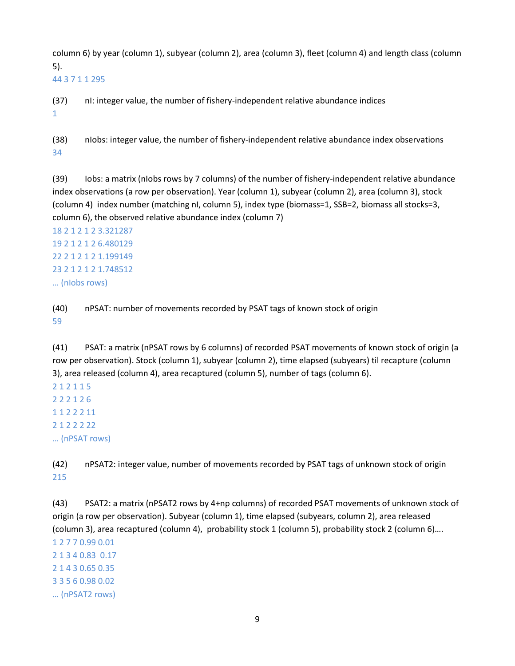column 6) by year (column 1), subyear (column 2), area (column 3), fleet (column 4) and length class (column 5).

44 3 7 1 1 295

(37) nI: integer value, the number of fishery-independent relative abundance indices 1

(38) nIobs: integer value, the number of fishery-independent relative abundance index observations 34

(39) Iobs: a matrix (nIobs rows by 7 columns) of the number of fishery-independent relative abundance index observations (a row per observation). Year (column 1), subyear (column 2), area (column 3), stock (column 4) index number (matching nI, column 5), index type (biomass=1, SSB=2, biomass all stocks=3, column 6), the observed relative abundance index (column 7)

18 2 1 2 1 2 3.321287 19 2 1 2 1 2 6.480129 22 2 1 2 1 2 1.199149 23 2 1 2 1 2 1.748512 … (nIobs rows)

(40) nPSAT: number of movements recorded by PSAT tags of known stock of origin 59

(41) PSAT: a matrix (nPSAT rows by 6 columns) of recorded PSAT movements of known stock of origin (a row per observation). Stock (column 1), subyear (column 2), time elapsed (subyears) til recapture (column 3), area released (column 4), area recaptured (column 5), number of tags (column 6).

2 1 2 1 1 5 2 2 2 1 2 6 1 1 2 2 2 11 2 1 2 2 2 22 … (nPSAT rows)

(42) nPSAT2: integer value, number of movements recorded by PSAT tags of unknown stock of origin 215

(43) PSAT2: a matrix (nPSAT2 rows by 4+np columns) of recorded PSAT movements of unknown stock of origin (a row per observation). Subyear (column 1), time elapsed (subyears, column 2), area released (column 3), area recaptured (column 4), probability stock 1 (column 5), probability stock 2 (column 6)….

1 2 7 7 0.99 0.01 2 1 3 4 0.83 0.17 2 1 4 3 0.65 0.35 3 3 5 6 0.98 0.02 … (nPSAT2 rows)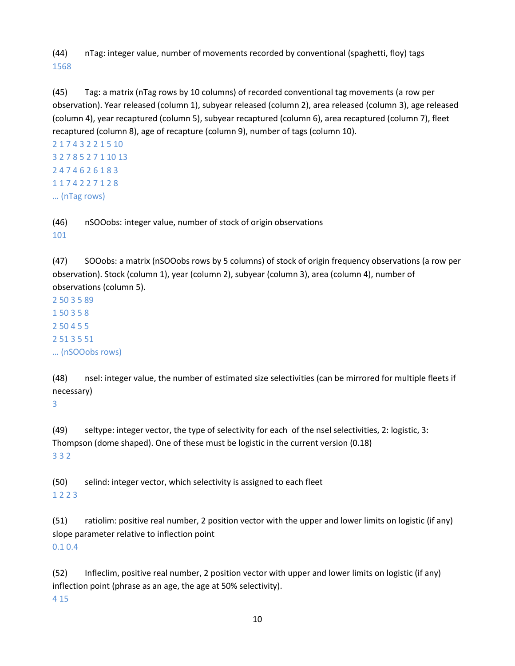(44) nTag: integer value, number of movements recorded by conventional (spaghetti, floy) tags 1568

(45) Tag: a matrix (nTag rows by 10 columns) of recorded conventional tag movements (a row per observation). Year released (column 1), subyear released (column 2), area released (column 3), age released (column 4), year recaptured (column 5), subyear recaptured (column 6), area recaptured (column 7), fleet recaptured (column 8), age of recapture (column 9), number of tags (column 10).

```
2 1 7 4 3 2 2 1 5 10
3 2 7 8 5 2 7 1 10 13
2 4 7 4 6 2 6 1 8 3
1 1 7 4 2 2 7 1 2 8
… (nTag rows)
```
(46) nSOOobs: integer value, number of stock of origin observations 101

(47) SOOobs: a matrix (nSOOobs rows by 5 columns) of stock of origin frequency observations (a row per observation). Stock (column 1), year (column 2), subyear (column 3), area (column 4), number of observations (column 5).

2 50 3 5 89 1 50 3 5 8 2 50 4 5 5 2 51 3 5 51 … (nSOOobs rows)

(48) nsel: integer value, the number of estimated size selectivities (can be mirrored for multiple fleets if necessary)

3

(49) seltype: integer vector, the type of selectivity for each of the nsel selectivities, 2: logistic, 3: Thompson (dome shaped). One of these must be logistic in the current version (0.18) 3 3 2

(50) selind: integer vector, which selectivity is assigned to each fleet 1 2 2 3

(51) ratiolim: positive real number, 2 position vector with the upper and lower limits on logistic (if any) slope parameter relative to inflection point

0.1 0.4

(52) Infleclim, positive real number, 2 position vector with upper and lower limits on logistic (if any) inflection point (phrase as an age, the age at 50% selectivity).

4 15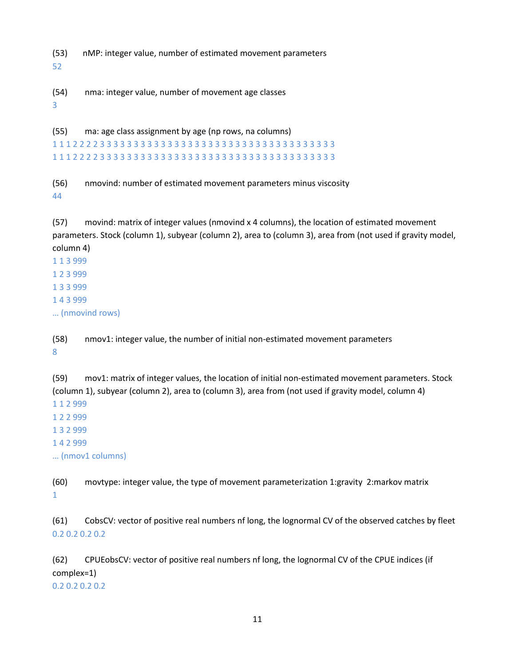(53) nMP: integer value, number of estimated movement parameters

52

(54) nma: integer value, number of movement age classes

3

(55) ma: age class assignment by age (np rows, na columns) 1 1 1 2 2 2 2 3 3 3 3 3 3 3 3 3 3 3 3 3 3 3 3 3 3 3 3 3 3 3 3 3 3 3 3 3 3 3 3 3 3 3 1 1 1 2 2 2 2 3 3 3 3 3 3 3 3 3 3 3 3 3 3 3 3 3 3 3 3 3 3 3 3 3 3 3 3 3 3 3 3 3 3 3

(56) nmovind: number of estimated movement parameters minus viscosity 44

(57) movind: matrix of integer values (nmovind x 4 columns), the location of estimated movement parameters. Stock (column 1), subyear (column 2), area to (column 3), area from (not used if gravity model, column 4)

1 1 3 999 1 2 3 999 1 3 3 999 1 4 3 999 … (nmovind rows)

(58) nmov1: integer value, the number of initial non-estimated movement parameters 8

(59) mov1: matrix of integer values, the location of initial non-estimated movement parameters. Stock (column 1), subyear (column 2), area to (column 3), area from (not used if gravity model, column 4) 1 1 2 999

1 2 2 999

1 3 2 999

1 4 2 999

… (nmov1 columns)

(60) movtype: integer value, the type of movement parameterization 1:gravity 2:markov matrix 1

(61) CobsCV: vector of positive real numbers nf long, the lognormal CV of the observed catches by fleet 0.2 0.2 0.2 0.2

(62) CPUEobsCV: vector of positive real numbers nf long, the lognormal CV of the CPUE indices (if complex=1)

0.2 0.2 0.2 0.2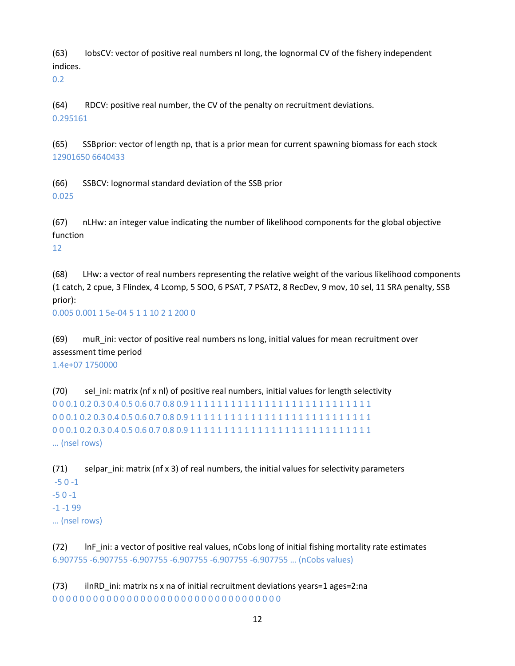(63) IobsCV: vector of positive real numbers nI long, the lognormal CV of the fishery independent indices.

0.2

(64) RDCV: positive real number, the CV of the penalty on recruitment deviations. 0.295161

(65) SSBprior: vector of length np, that is a prior mean for current spawning biomass for each stock 12901650 6640433

(66) SSBCV: lognormal standard deviation of the SSB prior 0.025

(67) nLHw: an integer value indicating the number of likelihood components for the global objective function

12

(68) LHw: a vector of real numbers representing the relative weight of the various likelihood components (1 catch, 2 cpue, 3 FIindex, 4 Lcomp, 5 SOO, 6 PSAT, 7 PSAT2, 8 RecDev, 9 mov, 10 sel, 11 SRA penalty, SSB prior):

0.005 0.001 1 5e-04 5 1 1 10 2 1 200 0

(69) muR\_ini: vector of positive real numbers ns long, initial values for mean recruitment over assessment time period

1.4e+07 1750000

(70) sel\_ini: matrix (nf x nl) of positive real numbers, initial values for length selectivity 0 0 0.1 0.2 0.3 0.4 0.5 0.6 0.7 0.8 0.9 1 1 1 1 1 1 1 1 1 1 1 1 1 1 1 1 1 1 1 1 1 1 1 1 1 1 1 0 0 0.1 0.2 0.3 0.4 0.5 0.6 0.7 0.8 0.9 1 1 1 1 1 1 1 1 1 1 1 1 1 1 1 1 1 1 1 1 1 1 1 1 1 1 1 0 0 0.1 0.2 0.3 0.4 0.5 0.6 0.7 0.8 0.9 1 1 1 1 1 1 1 1 1 1 1 1 1 1 1 1 1 1 1 1 1 1 1 1 1 1 1 … (nsel rows)

(71) selpar ini: matrix (nf  $x$  3) of real numbers, the initial values for selectivity parameters -5 0 -1 -5 0 -1 -1 -1 99 … (nsel rows)

(72) lnF\_ini: a vector of positive real values, nCobs long of initial fishing mortality rate estimates 6.907755 -6.907755 -6.907755 -6.907755 -6.907755 -6.907755 … (nCobs values)

(73) ilnRD\_ini: matrix ns x na of initial recruitment deviations years=1 ages=2:na 0 0 0 0 0 0 0 0 0 0 0 0 0 0 0 0 0 0 0 0 0 0 0 0 0 0 0 0 0 0 0 0 0 0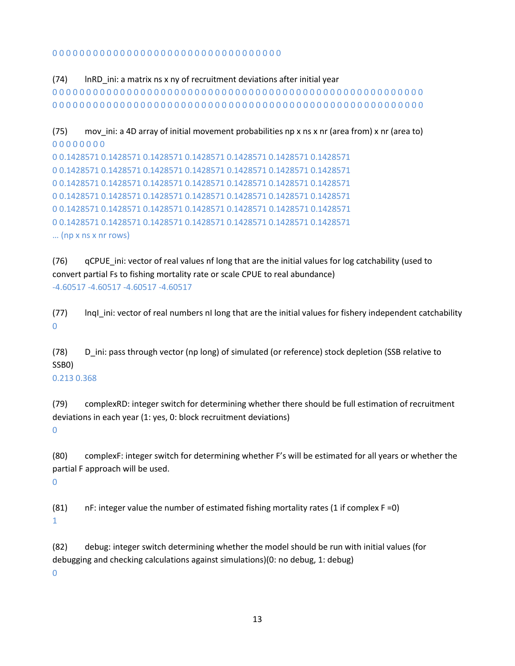#### 0 0 0 0 0 0 0 0 0 0 0 0 0 0 0 0 0 0 0 0 0 0 0 0 0 0 0 0 0 0 0 0 0 0

(74) lnRD\_ini: a matrix ns x ny of recruitment deviations after initial year 0 0 0 0 0 0 0 0 0 0 0 0 0 0 0 0 0 0 0 0 0 0 0 0 0 0 0 0 0 0 0 0 0 0 0 0 0 0 0 0 0 0 0 0 0 0 0 0 0 0 0 0 0 0 0 0 0 0 0 0 0 0 0 0 0 0 0 0 0 0 0 0 0 0 0 0 0 0 0 0 0 0 0 0 0 0 0 0 0 0 0 0 0 0 0 0 0 0 0 0 0 0 0 0 0 0 0 0 0 0

```
(75) mov ini: a 4D array of initial movement probabilities np x ns x nr (area from) x nr (area to)
0 0 0 0 0 0 0 0
```

```
0 0.1428571 0.1428571 0.1428571 0.1428571 0.1428571 0.1428571 0.1428571
0 0.1428571 0.1428571 0.1428571 0.1428571 0.1428571 0.1428571 0.1428571
0 0.1428571 0.1428571 0.1428571 0.1428571 0.1428571 0.1428571 0.1428571
0 0.1428571 0.1428571 0.1428571 0.1428571 0.1428571 0.1428571 0.1428571
0 0.1428571 0.1428571 0.1428571 0.1428571 0.1428571 0.1428571 0.1428571
0 0.1428571 0.1428571 0.1428571 0.1428571 0.1428571 0.1428571 0.1428571
… (np x ns x nr rows)
```
(76) qCPUE\_ini: vector of real values nf long that are the initial values for log catchability (used to convert partial Fs to fishing mortality rate or scale CPUE to real abundance) -4.60517 -4.60517 -4.60517 -4.60517

(77) lnqI\_ini: vector of real numbers nI long that are the initial values for fishery independent catchability  $\Omega$ 

(78) D\_ini: pass through vector (np long) of simulated (or reference) stock depletion (SSB relative to SSB0)

#### 0.213 0.368

(79) complexRD: integer switch for determining whether there should be full estimation of recruitment deviations in each year (1: yes, 0: block recruitment deviations)  $\Omega$ 

(80) complexF: integer switch for determining whether F's will be estimated for all years or whether the partial F approach will be used.

0

(81) nF: integer value the number of estimated fishing mortality rates (1 if complex  $F = 0$ ) 1

(82) debug: integer switch determining whether the model should be run with initial values (for debugging and checking calculations against simulations)(0: no debug, 1: debug)

 $\Omega$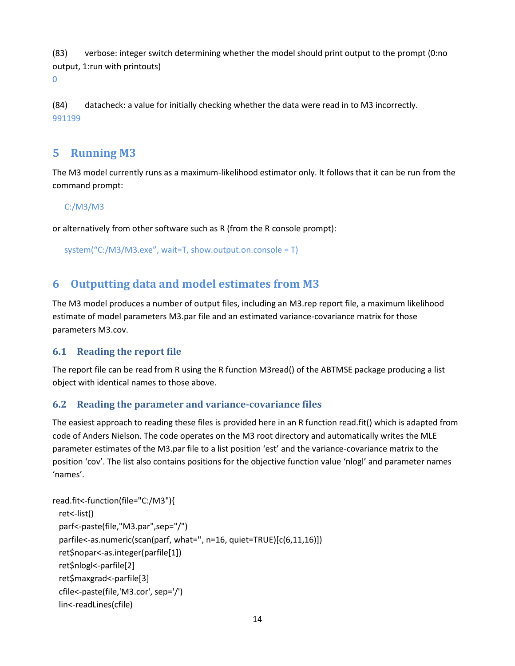(83) verbose: integer switch determining whether the model should print output to the prompt (0:no output, 1:run with printouts)

0

(84) datacheck: a value for initially checking whether the data were read in to M3 incorrectly. 991199

## <span id="page-13-0"></span>**5 Running M3**

The M3 model currently runs as a maximum-likelihood estimator only. It follows that it can be run from the command prompt:

#### C:/M3/M3

or alternatively from other software such as R (from the R console prompt):

system("C:/M3/M3.exe", wait=T, show.output.on.console = T)

## <span id="page-13-1"></span>**6 Outputting data and model estimates from M3**

The M3 model produces a number of output files, including an M3.rep report file, a maximum likelihood estimate of model parameters M3.par file and an estimated variance-covariance matrix for those parameters M3.cov.

#### <span id="page-13-2"></span>**6.1 Reading the report file**

The report file can be read from R using the R function M3read() of the ABTMSE package producing a list object with identical names to those above.

#### <span id="page-13-3"></span>**6.2 Reading the parameter and variance-covariance files**

The easiest approach to reading these files is provided here in an R function read.fit() which is adapted from code of Anders Nielson. The code operates on the M3 root directory and automatically writes the MLE parameter estimates of the M3.par file to a list position 'est' and the variance-covariance matrix to the position 'cov'. The list also contains positions for the objective function value 'nlogl' and parameter names 'names'.

```
read.fit<-function(file="C:/M3"){
  ret<-list()
  parf<-paste(file,"M3.par",sep="/")
  parfile<-as.numeric(scan(parf, what='', n=16, quiet=TRUE)[c(6,11,16)])
  ret$nopar<-as.integer(parfile[1])
  ret$nlogl<-parfile[2]
  ret$maxgrad<-parfile[3]
  cfile<-paste(file,'M3.cor', sep='/')
  lin<-readLines(cfile)
```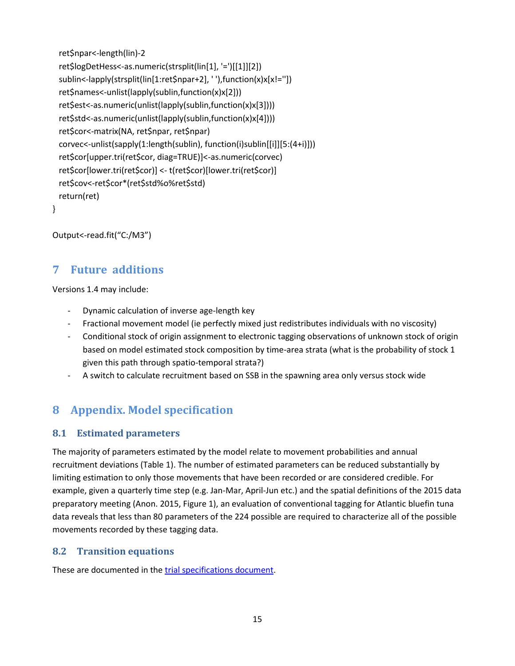```
 ret$npar<-length(lin)-2
 ret$logDetHess<-as.numeric(strsplit(lin[1], '=')[[1]][2])
 sublin<-lapply(strsplit(lin[1:ret$npar+2], ' '),function(x)x[x!=''])
 ret$names<-unlist(lapply(sublin,function(x)x[2]))
 ret$est<-as.numeric(unlist(lapply(sublin,function(x)x[3])))
 ret$std<-as.numeric(unlist(lapply(sublin,function(x)x[4])))
 ret$cor<-matrix(NA, ret$npar, ret$npar)
 corvec<-unlist(sapply(1:length(sublin), function(i)sublin[[i]][5:(4+i)]))
 ret$cor[upper.tri(ret$cor, diag=TRUE)]<-as.numeric(corvec)
 ret$cor[lower.tri(ret$cor)] <- t(ret$cor)[lower.tri(ret$cor)]
 ret$cov<-ret$cor*(ret$std%o%ret$std)
 return(ret)
```

```
}
```
<span id="page-14-0"></span>Output<-read.fit("C:/M3")

#### **7 Future additions**

Versions 1.4 may include:

- Dynamic calculation of inverse age-length key
- Fractional movement model (ie perfectly mixed just redistributes individuals with no viscosity)
- Conditional stock of origin assignment to electronic tagging observations of unknown stock of origin based on model estimated stock composition by time-area strata (what is the probability of stock 1 given this path through spatio-temporal strata?)
- A switch to calculate recruitment based on SSB in the spawning area only versus stock wide

## <span id="page-14-1"></span>**8 Appendix. Model specification**

#### <span id="page-14-2"></span>**8.1 Estimated parameters**

The majority of parameters estimated by the model relate to movement probabilities and annual recruitment deviations (Table 1). The number of estimated parameters can be reduced substantially by limiting estimation to only those movements that have been recorded or are considered credible. For example, given a quarterly time step (e.g. Jan-Mar, April-Jun etc.) and the spatial definitions of the 2015 data preparatory meeting (Anon. 2015, Figure 1), an evaluation of conventional tagging for Atlantic bluefin tuna data reveals that less than 80 parameters of the 224 possible are required to characterize all of the possible movements recorded by these tagging data.

#### <span id="page-14-3"></span>**8.2 Transition equations**

These are documented in the [trial specifications document.](https://drive.google.com/open?id=0B0HYOP0BN5RPSzJMS0RRUW9sUUU)